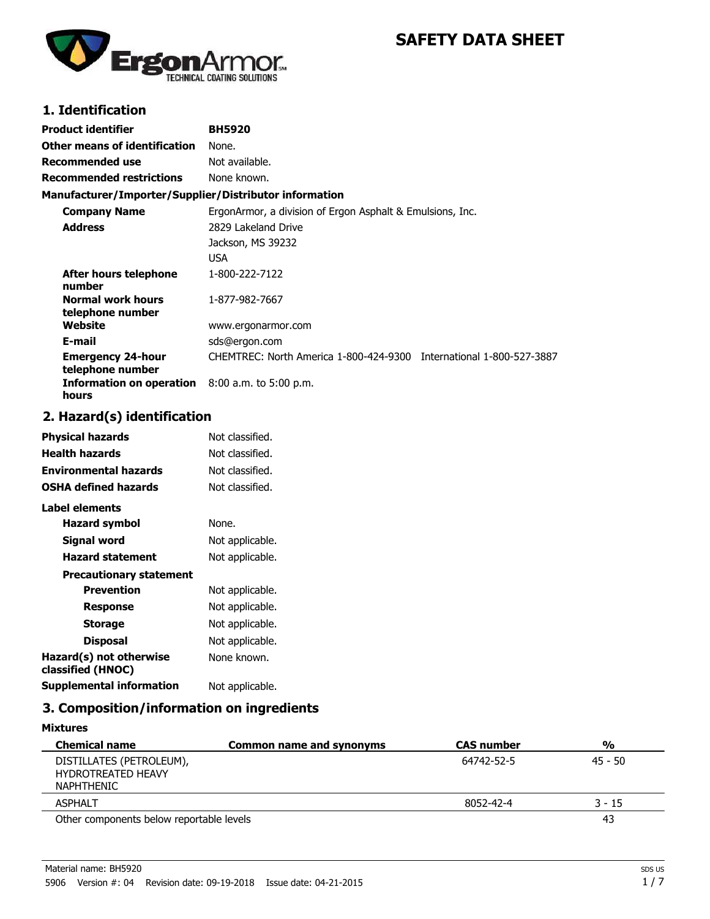

# **SAFETY DATA SHEET**

# **1. Identification**

| Product identifier                                     | <b>BH5920</b>                                                       |
|--------------------------------------------------------|---------------------------------------------------------------------|
| Other means of identification                          | None.                                                               |
| Recommended use                                        | Not available.                                                      |
| <b>Recommended restrictions</b>                        | None known.                                                         |
| Manufacturer/Importer/Supplier/Distributor information |                                                                     |
| <b>Company Name</b>                                    | ErgonArmor, a division of Ergon Asphalt & Emulsions, Inc.           |
| <b>Address</b>                                         | 2829 Lakeland Drive                                                 |
|                                                        | Jackson, MS 39232                                                   |
|                                                        | <b>USA</b>                                                          |
| After hours telephone<br>number                        | 1-800-222-7122                                                      |
| <b>Normal work hours</b><br>telephone number           | 1-877-982-7667                                                      |
| Website                                                | www.ergonarmor.com                                                  |
| E-mail                                                 | sds@ergon.com                                                       |
| <b>Emergency 24-hour</b><br>telephone number           | CHEMTREC: North America 1-800-424-9300 International 1-800-527-3887 |
| Information on operation<br>hours                      | $8:00$ a.m. to 5:00 p.m.                                            |

# **2. Hazard(s) identification**

| Physical hazards                             | Not classified. |
|----------------------------------------------|-----------------|
| <b>Health hazards</b>                        | Not classified. |
| <b>Environmental hazards</b>                 | Not classified. |
| <b>OSHA defined hazards</b>                  | Not classified. |
| Label elements                               |                 |
| Hazard symbol                                | None.           |
| Signal word                                  | Not applicable. |
| <b>Hazard statement</b>                      | Not applicable. |
| <b>Precautionary statement</b>               |                 |
| <b>Prevention</b>                            | Not applicable. |
| Response                                     | Not applicable. |
| <b>Storage</b>                               | Not applicable. |
| <b>Disposal</b>                              | Not applicable. |
| Hazard(s) not otherwise<br>classified (HNOC) | None known.     |
| <b>Supplemental information</b>              | Not applicable. |

# **3. Composition/information on ingredients**

| <b>Mixtures</b>                                                     |                          |                   |               |
|---------------------------------------------------------------------|--------------------------|-------------------|---------------|
| <b>Chemical name</b>                                                | Common name and synonyms | <b>CAS number</b> | $\frac{0}{0}$ |
| DISTILLATES (PETROLEUM),<br><b>HYDROTREATED HEAVY</b><br>NAPHTHENIC |                          | 64742-52-5        | $45 - 50$     |
| <b>ASPHALT</b>                                                      |                          | 8052-42-4         | $3 - 15$      |
| Other components below reportable levels                            |                          |                   | 43            |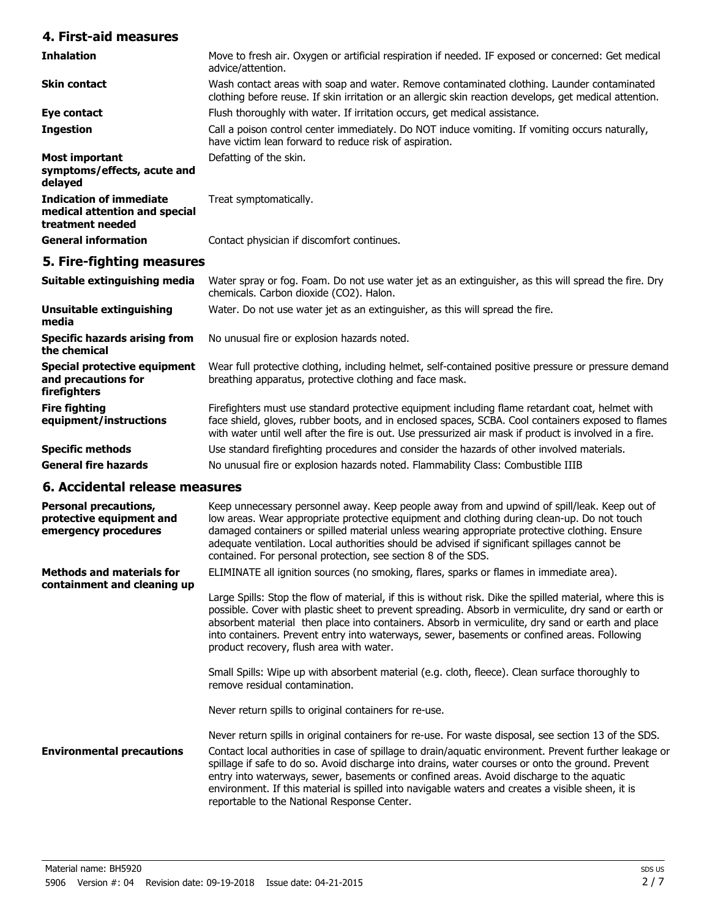### **4. First-aid measures**

| <b>Inhalation</b>                                                                   | Move to fresh air. Oxygen or artificial respiration if needed. IF exposed or concerned: Get medical<br>advice/attention.                                                                              |
|-------------------------------------------------------------------------------------|-------------------------------------------------------------------------------------------------------------------------------------------------------------------------------------------------------|
| <b>Skin contact</b>                                                                 | Wash contact areas with soap and water. Remove contaminated clothing. Launder contaminated<br>clothing before reuse. If skin irritation or an allergic skin reaction develops, get medical attention. |
| Eye contact                                                                         | Flush thoroughly with water. If irritation occurs, get medical assistance.                                                                                                                            |
| <b>Ingestion</b>                                                                    | Call a poison control center immediately. Do NOT induce vomiting. If vomiting occurs naturally,<br>have victim lean forward to reduce risk of aspiration.                                             |
| Most important<br>symptoms/effects, acute and<br>delayed                            | Defatting of the skin.                                                                                                                                                                                |
| <b>Indication of immediate</b><br>medical attention and special<br>treatment needed | Treat symptomatically.                                                                                                                                                                                |
| <b>General information</b>                                                          | Contact physician if discomfort continues.                                                                                                                                                            |

# **5. Fire-fighting measures**

| Suitable extinguishing media                                        | Water spray or fog. Foam. Do not use water jet as an extinguisher, as this will spread the fire. Dry<br>chemicals. Carbon dioxide (CO2). Halon.                                                                                                                                                                  |
|---------------------------------------------------------------------|------------------------------------------------------------------------------------------------------------------------------------------------------------------------------------------------------------------------------------------------------------------------------------------------------------------|
| <b>Unsuitable extinguishing</b><br>media                            | Water. Do not use water jet as an extinguisher, as this will spread the fire.                                                                                                                                                                                                                                    |
| <b>Specific hazards arising from</b><br>the chemical                | No unusual fire or explosion hazards noted.                                                                                                                                                                                                                                                                      |
| Special protective equipment<br>and precautions for<br>firefighters | Wear full protective clothing, including helmet, self-contained positive pressure or pressure demand<br>breathing apparatus, protective clothing and face mask.                                                                                                                                                  |
| <b>Fire fighting</b><br>equipment/instructions                      | Firefighters must use standard protective equipment including flame retardant coat, helmet with<br>face shield, gloves, rubber boots, and in enclosed spaces, SCBA. Cool containers exposed to flames<br>with water until well after the fire is out. Use pressurized air mask if product is involved in a fire. |
| <b>Specific methods</b>                                             | Use standard firefighting procedures and consider the hazards of other involved materials.                                                                                                                                                                                                                       |
| <b>General fire hazards</b>                                         | No unusual fire or explosion hazards noted. Flammability Class: Combustible IIIB                                                                                                                                                                                                                                 |

#### **6. Accidental release measures**

| <b>Personal precautions,</b><br>protective equipment and<br>emergency procedures | Keep unnecessary personnel away. Keep people away from and upwind of spill/leak. Keep out of<br>low areas. Wear appropriate protective equipment and clothing during clean-up. Do not touch<br>damaged containers or spilled material unless wearing appropriate protective clothing. Ensure<br>adequate ventilation. Local authorities should be advised if significant spillages cannot be<br>contained. For personal protection, see section 8 of the SDS.                                                                                                        |
|----------------------------------------------------------------------------------|----------------------------------------------------------------------------------------------------------------------------------------------------------------------------------------------------------------------------------------------------------------------------------------------------------------------------------------------------------------------------------------------------------------------------------------------------------------------------------------------------------------------------------------------------------------------|
| <b>Methods and materials for</b><br>containment and cleaning up                  | ELIMINATE all ignition sources (no smoking, flares, sparks or flames in immediate area).<br>Large Spills: Stop the flow of material, if this is without risk. Dike the spilled material, where this is<br>possible. Cover with plastic sheet to prevent spreading. Absorb in vermiculite, dry sand or earth or<br>absorbent material then place into containers. Absorb in vermiculite, dry sand or earth and place<br>into containers. Prevent entry into waterways, sewer, basements or confined areas. Following<br>product recovery, flush area with water.      |
|                                                                                  | Small Spills: Wipe up with absorbent material (e.g. cloth, fleece). Clean surface thoroughly to<br>remove residual contamination.<br>Never return spills to original containers for re-use.                                                                                                                                                                                                                                                                                                                                                                          |
| <b>Environmental precautions</b>                                                 | Never return spills in original containers for re-use. For waste disposal, see section 13 of the SDS.<br>Contact local authorities in case of spillage to drain/aquatic environment. Prevent further leakage or<br>spillage if safe to do so. Avoid discharge into drains, water courses or onto the ground. Prevent<br>entry into waterways, sewer, basements or confined areas. Avoid discharge to the aquatic<br>environment. If this material is spilled into navigable waters and creates a visible sheen, it is<br>reportable to the National Response Center. |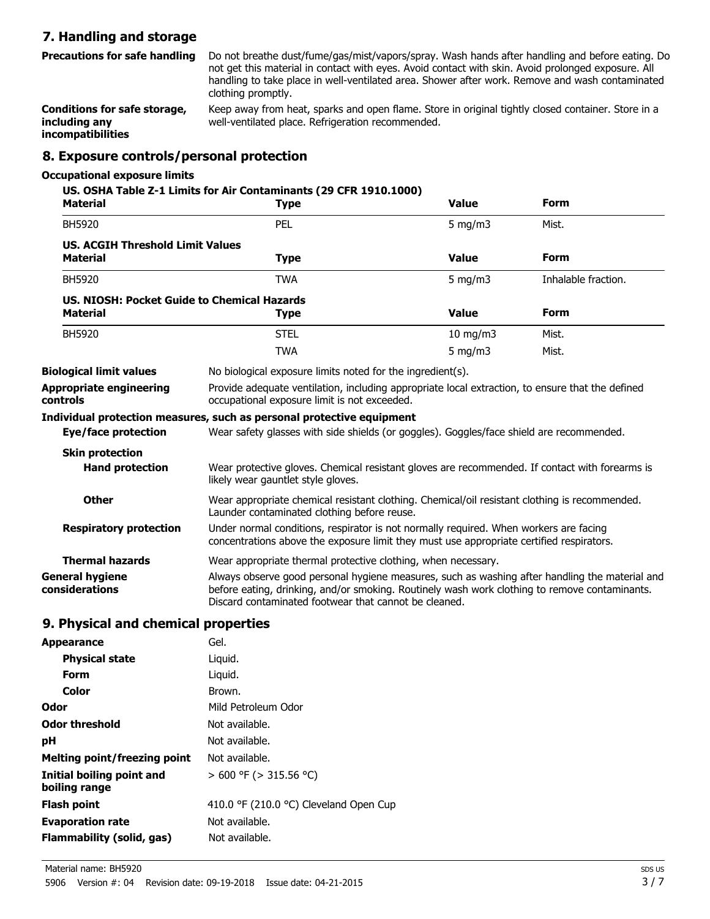### **7. Handling and storage**

Do not breathe dust/fume/gas/mist/vapors/spray. Wash hands after handling and before eating. Do not get this material in contact with eyes. Avoid contact with skin. Avoid prolonged exposure. All handling to take place in well-ventilated area. Shower after work. Remove and wash contaminated clothing promptly. **Precautions for safe handling**

Keep away from heat, sparks and open flame. Store in original tightly closed container. Store in a well-ventilated place. Refrigeration recommended. **Conditions for safe storage, including any incompatibilities**

#### **8. Exposure controls/personal protection**

#### **Occupational exposure limits**

| <b>Material</b>                                                | US. OSHA Table Z-1 Limits for Air Contaminants (29 CFR 1910.1000)<br><b>Type</b>                                                                                                                                                                         | <b>Value</b>  | <b>Form</b>         |
|----------------------------------------------------------------|----------------------------------------------------------------------------------------------------------------------------------------------------------------------------------------------------------------------------------------------------------|---------------|---------------------|
| BH5920                                                         | PEL                                                                                                                                                                                                                                                      | 5 mg/m $3$    | Mist.               |
| <b>US. ACGIH Threshold Limit Values</b><br><b>Material</b>     | <b>Type</b>                                                                                                                                                                                                                                              | <b>Value</b>  | <b>Form</b>         |
| <b>BH5920</b>                                                  | <b>TWA</b>                                                                                                                                                                                                                                               | $5$ mg/m $3$  | Inhalable fraction. |
| US, NIOSH: Pocket Guide to Chemical Hazards<br><b>Material</b> | <b>Type</b>                                                                                                                                                                                                                                              | <b>Value</b>  | <b>Form</b>         |
| <b>BH5920</b>                                                  | <b>STEL</b>                                                                                                                                                                                                                                              | $10$ mg/m $3$ | Mist.               |
|                                                                | <b>TWA</b>                                                                                                                                                                                                                                               | 5 mg/m $3$    | Mist.               |
| <b>Biological limit values</b>                                 | No biological exposure limits noted for the ingredient(s).                                                                                                                                                                                               |               |                     |
| <b>Appropriate engineering</b><br>controls                     | Provide adequate ventilation, including appropriate local extraction, to ensure that the defined<br>occupational exposure limit is not exceeded.                                                                                                         |               |                     |
|                                                                | Individual protection measures, such as personal protective equipment                                                                                                                                                                                    |               |                     |
| Eye/face protection                                            | Wear safety glasses with side shields (or goggles). Goggles/face shield are recommended.                                                                                                                                                                 |               |                     |
| <b>Skin protection</b>                                         |                                                                                                                                                                                                                                                          |               |                     |
| <b>Hand protection</b>                                         | Wear protective gloves. Chemical resistant gloves are recommended. If contact with forearms is<br>likely wear gauntlet style gloves.                                                                                                                     |               |                     |
| <b>Other</b>                                                   | Wear appropriate chemical resistant clothing. Chemical/oil resistant clothing is recommended.<br>Launder contaminated clothing before reuse.                                                                                                             |               |                     |
| <b>Respiratory protection</b>                                  | Under normal conditions, respirator is not normally required. When workers are facing<br>concentrations above the exposure limit they must use appropriate certified respirators.                                                                        |               |                     |
| <b>Thermal hazards</b>                                         | Wear appropriate thermal protective clothing, when necessary.                                                                                                                                                                                            |               |                     |
| General hygiene<br>considerations                              | Always observe good personal hygiene measures, such as washing after handling the material and<br>before eating, drinking, and/or smoking. Routinely wash work clothing to remove contaminants.<br>Discard contaminated footwear that cannot be cleaned. |               |                     |
| <b>Q.</b> Dhysical and chamical proporties                     |                                                                                                                                                                                                                                                          |               |                     |

#### **9. Physical and chemical properties**

| <b>Appearance</b>                          | Gel.                                   |
|--------------------------------------------|----------------------------------------|
| <b>Physical state</b>                      | Liguid.                                |
| Form                                       | Liguid.                                |
| Color                                      | Brown.                                 |
| Odor                                       | Mild Petroleum Odor                    |
| Odor threshold                             | Not available.                         |
| рH                                         | Not available.                         |
| Melting point/freezing point               | Not available.                         |
| Initial boiling point and<br>boiling range | $> 600$ °F ( $> 315.56$ °C)            |
| <b>Flash point</b>                         | 410.0 °F (210.0 °C) Cleveland Open Cup |
| <b>Evaporation rate</b>                    | Not available.                         |
| Flammability (solid, gas)                  | Not available.                         |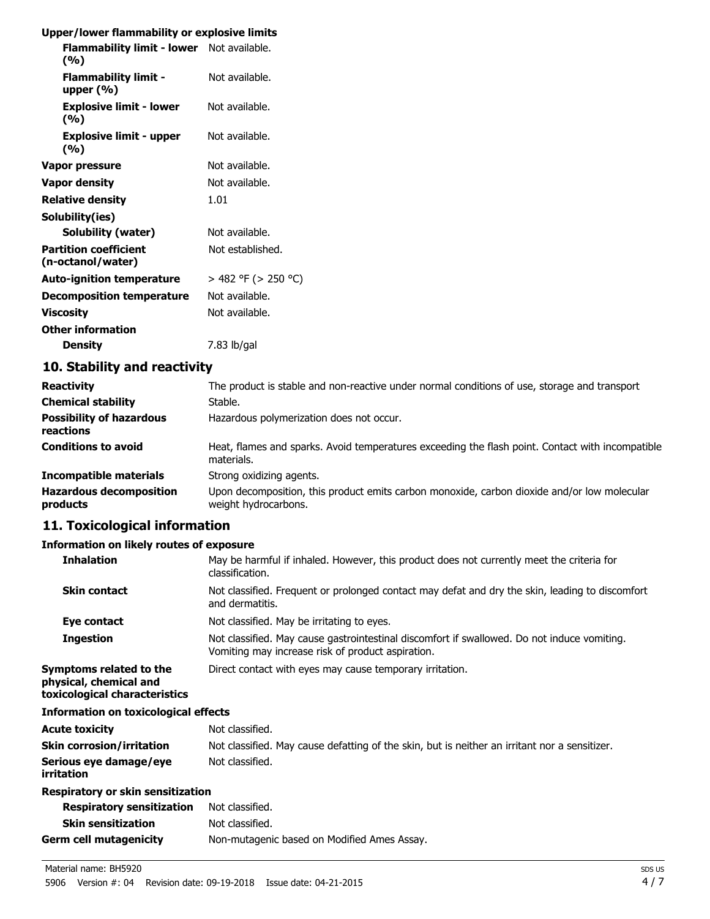### **Upper/lower flammability or explosive limits**

| opper rower naminability or explosive immus                                                                                                                                                                                                                                                                                                                                                                                                                                                |                          |
|--------------------------------------------------------------------------------------------------------------------------------------------------------------------------------------------------------------------------------------------------------------------------------------------------------------------------------------------------------------------------------------------------------------------------------------------------------------------------------------------|--------------------------|
| Flammability limit - lower Not available.<br>(%)                                                                                                                                                                                                                                                                                                                                                                                                                                           |                          |
| <b>Flammability limit -</b><br>upper $(\% )$                                                                                                                                                                                                                                                                                                                                                                                                                                               | Not available.           |
| <b>Explosive limit - lower</b><br>(%)                                                                                                                                                                                                                                                                                                                                                                                                                                                      | Not available.           |
| <b>Explosive limit - upper</b><br>(%)                                                                                                                                                                                                                                                                                                                                                                                                                                                      | Not available.           |
| Vapor pressure                                                                                                                                                                                                                                                                                                                                                                                                                                                                             | Not available.           |
| <b>Vapor density</b>                                                                                                                                                                                                                                                                                                                                                                                                                                                                       | Not available.           |
| <b>Relative density</b>                                                                                                                                                                                                                                                                                                                                                                                                                                                                    | 1.01                     |
| Solubility(ies)                                                                                                                                                                                                                                                                                                                                                                                                                                                                            |                          |
| <b>Solubility (water)</b>                                                                                                                                                                                                                                                                                                                                                                                                                                                                  | Not available.           |
| <b>Partition coefficient</b><br>(n-octanol/water)                                                                                                                                                                                                                                                                                                                                                                                                                                          | Not established.         |
| <b>Auto-ignition temperature</b>                                                                                                                                                                                                                                                                                                                                                                                                                                                           | $>$ 482 °F ( $>$ 250 °C) |
| <b>Decomposition temperature</b>                                                                                                                                                                                                                                                                                                                                                                                                                                                           | Not available.           |
| <b>Viscosity</b>                                                                                                                                                                                                                                                                                                                                                                                                                                                                           | Not available.           |
| <b>Other information</b>                                                                                                                                                                                                                                                                                                                                                                                                                                                                   |                          |
| <b>Density</b>                                                                                                                                                                                                                                                                                                                                                                                                                                                                             | 7.83 lb/gal              |
| $\blacksquare$ $\blacksquare$ $\blacksquare$ $\blacksquare$ $\blacksquare$ $\blacksquare$ $\blacksquare$ $\blacksquare$ $\blacksquare$ $\blacksquare$ $\blacksquare$ $\blacksquare$ $\blacksquare$ $\blacksquare$ $\blacksquare$ $\blacksquare$ $\blacksquare$ $\blacksquare$ $\blacksquare$ $\blacksquare$ $\blacksquare$ $\blacksquare$ $\blacksquare$ $\blacksquare$ $\blacksquare$ $\blacksquare$ $\blacksquare$ $\blacksquare$ $\blacksquare$ $\blacksquare$ $\blacksquare$ $\blacks$ |                          |

#### **10. Stability and reactivity**

| <b>Reactivity</b>                            | The product is stable and non-reactive under normal conditions of use, storage and transport                        |
|----------------------------------------------|---------------------------------------------------------------------------------------------------------------------|
| <b>Chemical stability</b>                    | Stable.                                                                                                             |
| <b>Possibility of hazardous</b><br>reactions | Hazardous polymerization does not occur.                                                                            |
| <b>Conditions to avoid</b>                   | Heat, flames and sparks. Avoid temperatures exceeding the flash point. Contact with incompatible<br>materials.      |
| <b>Incompatible materials</b>                | Strong oxidizing agents.                                                                                            |
| <b>Hazardous decomposition</b><br>products   | Upon decomposition, this product emits carbon monoxide, carbon dioxide and/or low molecular<br>weight hydrocarbons. |

# **11. Toxicological information**

#### **Information on likely routes of exposure**

| <b>Inhalation</b>                                                                  | May be harmful if inhaled. However, this product does not currently meet the criteria for<br>classification.                                     |
|------------------------------------------------------------------------------------|--------------------------------------------------------------------------------------------------------------------------------------------------|
| <b>Skin contact</b>                                                                | Not classified. Frequent or prolonged contact may defat and dry the skin, leading to discomfort<br>and dermatitis.                               |
| Eye contact                                                                        | Not classified. May be irritating to eyes.                                                                                                       |
| <b>Ingestion</b>                                                                   | Not classified. May cause gastrointestinal discomfort if swallowed. Do not induce vomiting.<br>Vomiting may increase risk of product aspiration. |
| Symptoms related to the<br>physical, chemical and<br>toxicological characteristics | Direct contact with eyes may cause temporary irritation.                                                                                         |
| Information on toxicological effects                                               |                                                                                                                                                  |
| Acute toxicity                                                                     | Not classified.                                                                                                                                  |
| Skin corrosion/irritation                                                          | Not classified. May cause defatting of the skin, but is neither an irritant nor a sensitizer.                                                    |
| Serious eye damage/eye<br>irritation                                               | Not classified.                                                                                                                                  |
| Respiratory or skin sensitization                                                  |                                                                                                                                                  |
| <b>Respiratory sensitization</b>                                                   | Not classified.                                                                                                                                  |
| <b>Skin sensitization</b>                                                          | Not classified.                                                                                                                                  |
| Germ cell mutagenicity                                                             | Non-mutagenic based on Modified Ames Assay.                                                                                                      |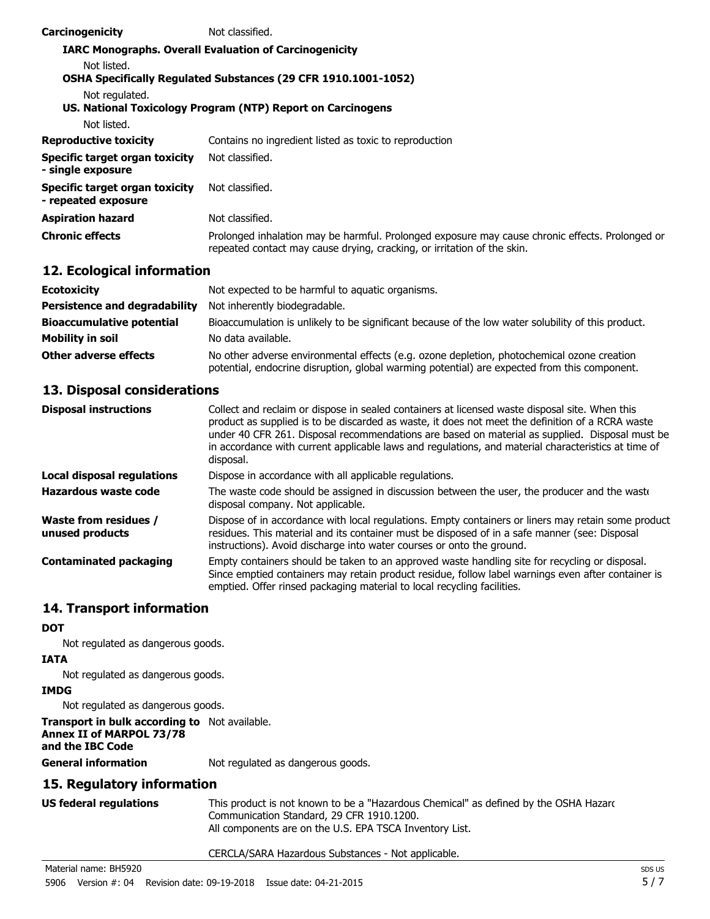| Carcinogenicity                                       | Not classified.                                                                                                                                                            |
|-------------------------------------------------------|----------------------------------------------------------------------------------------------------------------------------------------------------------------------------|
|                                                       | <b>IARC Monographs. Overall Evaluation of Carcinogenicity</b>                                                                                                              |
| Not listed.                                           |                                                                                                                                                                            |
|                                                       | <b>OSHA Specifically Regulated Substances (29 CFR 1910.1001-1052)</b>                                                                                                      |
| Not regulated.                                        |                                                                                                                                                                            |
|                                                       | US. National Toxicology Program (NTP) Report on Carcinogens                                                                                                                |
| Not listed.                                           |                                                                                                                                                                            |
| <b>Reproductive toxicity</b>                          | Contains no ingredient listed as toxic to reproduction                                                                                                                     |
| Specific target organ toxicity<br>- single exposure   | Not classified.                                                                                                                                                            |
| Specific target organ toxicity<br>- repeated exposure | Not classified.                                                                                                                                                            |
| <b>Aspiration hazard</b>                              | Not classified.                                                                                                                                                            |
| <b>Chronic effects</b>                                | Prolonged inhalation may be harmful. Prolonged exposure may cause chronic effects. Prolonged or<br>repeated contact may cause drying, cracking, or irritation of the skin. |

# **12. Ecological information**

| <b>Ecotoxicity</b>                   | Not expected to be harmful to aquatic organisms.                                                                                                                                           |
|--------------------------------------|--------------------------------------------------------------------------------------------------------------------------------------------------------------------------------------------|
| <b>Persistence and degradability</b> | Not inherently biodegradable.                                                                                                                                                              |
| <b>Bioaccumulative potential</b>     | Bioaccumulation is unlikely to be significant because of the low water solubility of this product.                                                                                         |
| <b>Mobility in soil</b>              | No data available.                                                                                                                                                                         |
| Other adverse effects                | No other adverse environmental effects (e.g. ozone depletion, photochemical ozone creation<br>potential, endocrine disruption, global warming potential) are expected from this component. |

### **13. Disposal considerations**

| <b>Disposal instructions</b>             | Collect and reclaim or dispose in sealed containers at licensed waste disposal site. When this<br>product as supplied is to be discarded as waste, it does not meet the definition of a RCRA waste<br>under 40 CFR 261. Disposal recommendations are based on material as supplied. Disposal must be<br>in accordance with current applicable laws and regulations, and material characteristics at time of<br>disposal. |
|------------------------------------------|--------------------------------------------------------------------------------------------------------------------------------------------------------------------------------------------------------------------------------------------------------------------------------------------------------------------------------------------------------------------------------------------------------------------------|
| <b>Local disposal regulations</b>        | Dispose in accordance with all applicable regulations.                                                                                                                                                                                                                                                                                                                                                                   |
| Hazardous waste code                     | The waste code should be assigned in discussion between the user, the producer and the waste<br>disposal company. Not applicable.                                                                                                                                                                                                                                                                                        |
| Waste from residues /<br>unused products | Dispose of in accordance with local regulations. Empty containers or liners may retain some product<br>residues. This material and its container must be disposed of in a safe manner (see: Disposal<br>instructions). Avoid discharge into water courses or onto the ground.                                                                                                                                            |
| <b>Contaminated packaging</b>            | Empty containers should be taken to an approved waste handling site for recycling or disposal.<br>Since emptied containers may retain product residue, follow label warnings even after container is<br>emptied. Offer rinsed packaging material to local recycling facilities.                                                                                                                                          |

# **14. Transport information**

#### **DOT**

Not regulated as dangerous goods.

#### **IATA**

Not regulated as dangerous goods.

#### **IMDG**

Not regulated as dangerous goods.

### **Transport in bulk according to** Not available.

# **Annex II of MARPOL 73/78**

**and the IBC Code**

**General information** Not regulated as dangerous goods.

### **15. Regulatory information**

| <b>US federal regulations</b> | This product is not known to be a "Hazardous Chemical" as defined by the OSHA Hazarc |
|-------------------------------|--------------------------------------------------------------------------------------|
|                               | Communication Standard, 29 CFR 1910.1200.                                            |
|                               | All components are on the U.S. EPA TSCA Inventory List.                              |

#### CERCLA/SARA Hazardous Substances - Not applicable.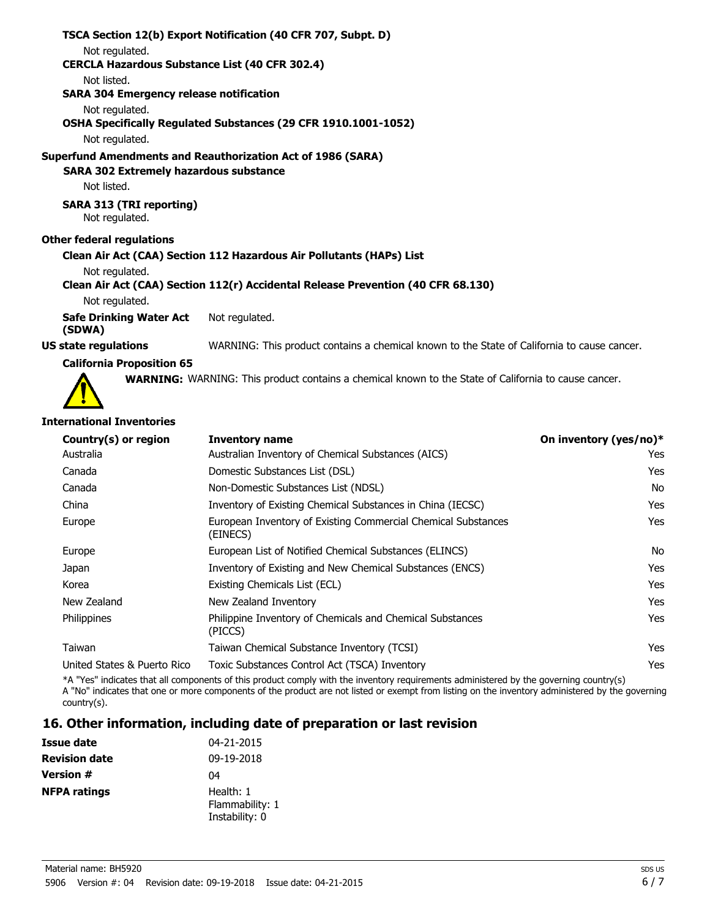|                                                       | TSCA Section 12(b) Export Notification (40 CFR 707, Subpt. D)                               |
|-------------------------------------------------------|---------------------------------------------------------------------------------------------|
| Not regulated.                                        |                                                                                             |
| <b>CERCLA Hazardous Substance List (40 CFR 302.4)</b> |                                                                                             |
| Not listed.                                           |                                                                                             |
| <b>SARA 304 Emergency release notification</b>        |                                                                                             |
| Not regulated.                                        |                                                                                             |
|                                                       | OSHA Specifically Regulated Substances (29 CFR 1910.1001-1052)                              |
| Not regulated.                                        |                                                                                             |
|                                                       | Superfund Amendments and Reauthorization Act of 1986 (SARA)                                 |
| <b>SARA 302 Extremely hazardous substance</b>         |                                                                                             |
| Not listed.                                           |                                                                                             |
| <b>SARA 313 (TRI reporting)</b><br>Not regulated.     |                                                                                             |
| Other federal regulations                             |                                                                                             |
|                                                       | Clean Air Act (CAA) Section 112 Hazardous Air Pollutants (HAPs) List                        |
| Not regulated.                                        |                                                                                             |
|                                                       | Clean Air Act (CAA) Section 112(r) Accidental Release Prevention (40 CFR 68.130)            |
| Not regulated.                                        |                                                                                             |
| Safe Drinking Water Act<br>(SDWA)                     | Not regulated.                                                                              |
| US state regulations                                  | WARNING: This product contains a chemical known to the State of California to cause cancer. |
|                                                       |                                                                                             |

#### **California Proposition 65**



**WARNING:** WARNING: This product contains a chemical known to the State of California to cause cancer.

#### **International Inventories**

| Country(s) or region        | <b>Inventory name</b>                                                     | On inventory (yes/no)* |
|-----------------------------|---------------------------------------------------------------------------|------------------------|
| Australia                   | Australian Inventory of Chemical Substances (AICS)                        | Yes.                   |
| Canada                      | Domestic Substances List (DSL)                                            | <b>Yes</b>             |
| Canada                      | Non-Domestic Substances List (NDSL)                                       | No                     |
| China                       | Inventory of Existing Chemical Substances in China (IECSC)                | Yes                    |
| Europe                      | European Inventory of Existing Commercial Chemical Substances<br>(EINECS) | Yes                    |
| Europe                      | European List of Notified Chemical Substances (ELINCS)                    | No                     |
| Japan                       | Inventory of Existing and New Chemical Substances (ENCS)                  | Yes                    |
| Korea                       | Existing Chemicals List (ECL)                                             | <b>Yes</b>             |
| New Zealand                 | New Zealand Inventory                                                     | <b>Yes</b>             |
| <b>Philippines</b>          | Philippine Inventory of Chemicals and Chemical Substances<br>(PICCS)      | Yes                    |
| Taiwan                      | Taiwan Chemical Substance Inventory (TCSI)                                | <b>Yes</b>             |
| United States & Puerto Rico | Toxic Substances Control Act (TSCA) Inventory                             | Yes                    |

\*A "Yes" indicates that all components of this product comply with the inventory requirements administered by the governing country(s) A "No" indicates that one or more components of the product are not listed or exempt from listing on the inventory administered by the governing country(s).

### **16. Other information, including date of preparation or last revision**

| <b>Issue date</b>    | 04-21-2015                                     |
|----------------------|------------------------------------------------|
| <b>Revision date</b> | 09-19-2018                                     |
| <b>Version #</b>     | 04                                             |
| <b>NFPA ratings</b>  | Health: 1<br>Flammability: 1<br>Instability: 0 |